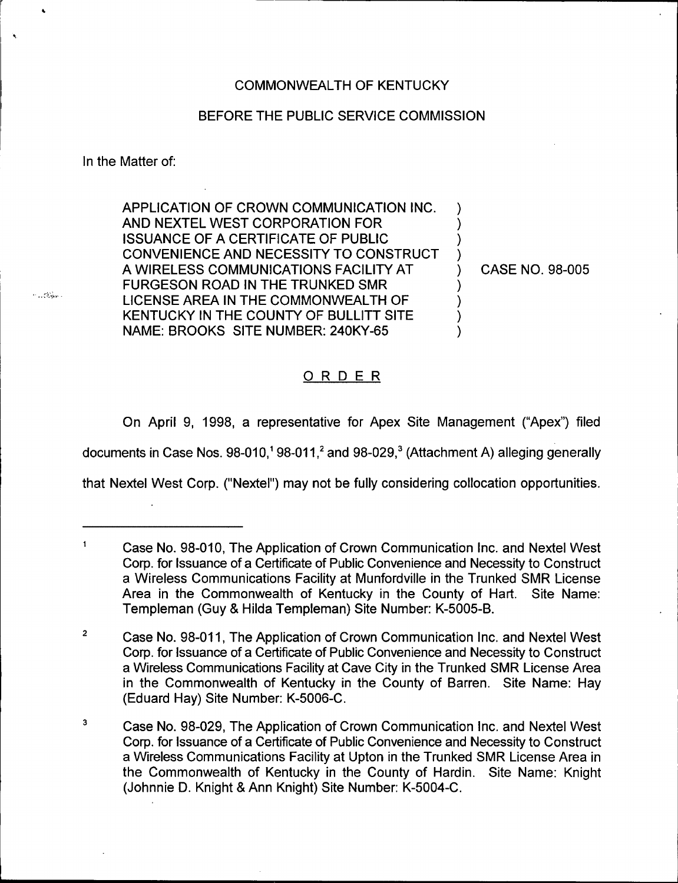#### COMMONWEALTH OF KENTUCKY

#### BEFORE THE PUBLIC SERVICE COMMISSION

In the Matter of:

Ä.

 $\sim 100$  km s  $^{-1}$ 

APPLICATION OF CROWN COMMUNICATION INC. AND NEXTEL WEST CORPORATION FOR ISSUANCE OF A CERTIFICATE OF PUBLIC CONVENIENCE AND NECESSITY TO CONSTRUCT A WIRELESS COMMUNICATIONS FACILITY AT FURGESON ROAD IN THE TRUNKED SMR LICENSE AREA IN THE COMMONWEALTH OF KENTUCKY IN THE COUNTY OF BULLITT SITE NAME: BROOKS SITE NUMBER: 240KY-65

) CASE NO. 98-005

) ) ) )

> ) ) ) )

#### ORDER

On April 9, 1998, a representative for Apex Site Management ("Apex") filed

documents in Case Nos.  $98-010$ ,<sup> $1$ </sup> 98-011,<sup>2</sup> and 98-029,<sup>3</sup> (Attachment A) alleging generally

that Nextel West Corp. ("Nextel") may not be fully considering collocation opportunities.

 $\overline{1}$ Case No. 98-010, The Application of Crown Communication Inc. and Nextel West Corp. for Issuance of a Certificate of Public Convenience and Necessity to Construct a Wireless Communications Facility at Munfordville in the Trunked SMR License Area in the Commonwealth of Kentucky in the County of Hart. Site Name: Templeman (Guy & Hilda Templeman) Site Number: K-5005-B.

 $\overline{2}$ Case No. 98-011,The Application of Crown Communication Inc. and Nextel West Corp. for Issuance of a Certificate of Public Convenience and Necessity to Construct a Wireless Communications Facility at Cave City in the Trunked SMR License Area in the Commonwealth of Kentucky in the County of Barren. Site Name: Hay (Eduard Hay) Site Number: K-5006-C.

 $\overline{\mathbf{3}}$ Case No. 98-029, The Application of Crown Communication Inc. and Nextel West Corp. for Issuance of a Certificate of Public Convenience and Necessity to Construct a Wireless Communications Facility at Upton in the Trunked SMR License Area in the Commonwealth of Kentucky in the County of Hardin. Site Name: Knight (Johnnie D. Knight 8 Ann Knight) Site Number: K-5004-C.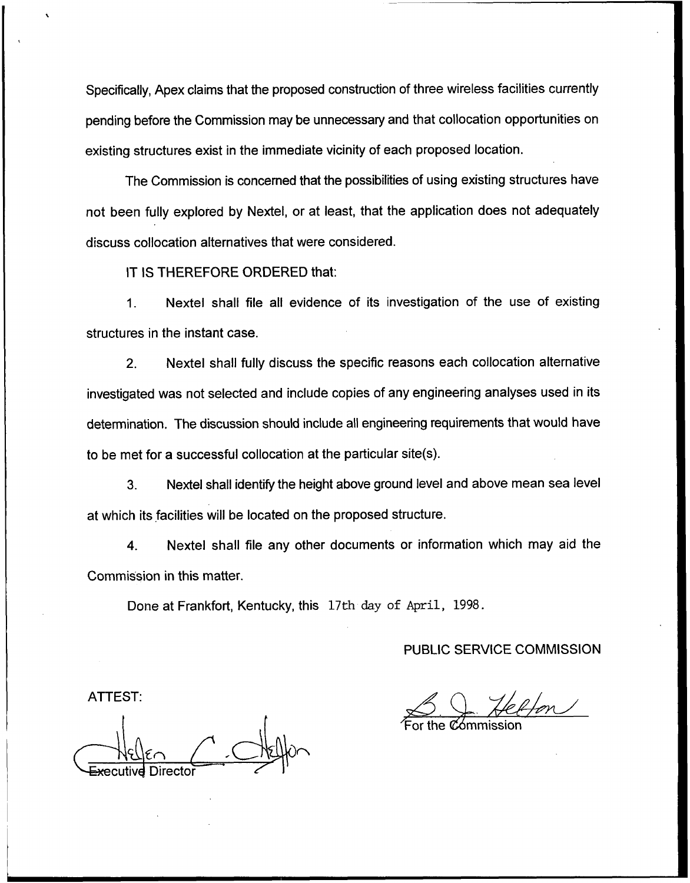Specifically, Apex claims that the proposed construction of three wireless facilities currently pending before the Commission may be unnecessary and that collocation opportunities on existing structures exist in the immediate vicinity of each proposed location.

The Commission is concerned that the possibilities of using existing structures have not been fully explored by Nextel, or at least, that the application does not adequately discuss collocation alternatives that were considered.

IT IS THEREFORE ORDERED that:

1. Nextel shall file all evidence of its investigation of the use of existing structures in the instant case.

2. Nextel shall fully discuss the specific reasons each collocation alternative investigated was not selected and include copies of any engineering analyses used in its determination. The discussion should include all engineering requirements that would have to be met for a successful collocation at the particular site(s).

3. Nextel shall identify the height above ground level and above mean sea level at which its facilities will be located on the proposed structure.

4. Nextel shall file any other documents or information which may aid the Commission in this matter.

Done at Frankfort, Kentucky, this 17th day of April, 1998.

PUBLIC SERVICE COMMISSION

For the Commissio

ATTEST: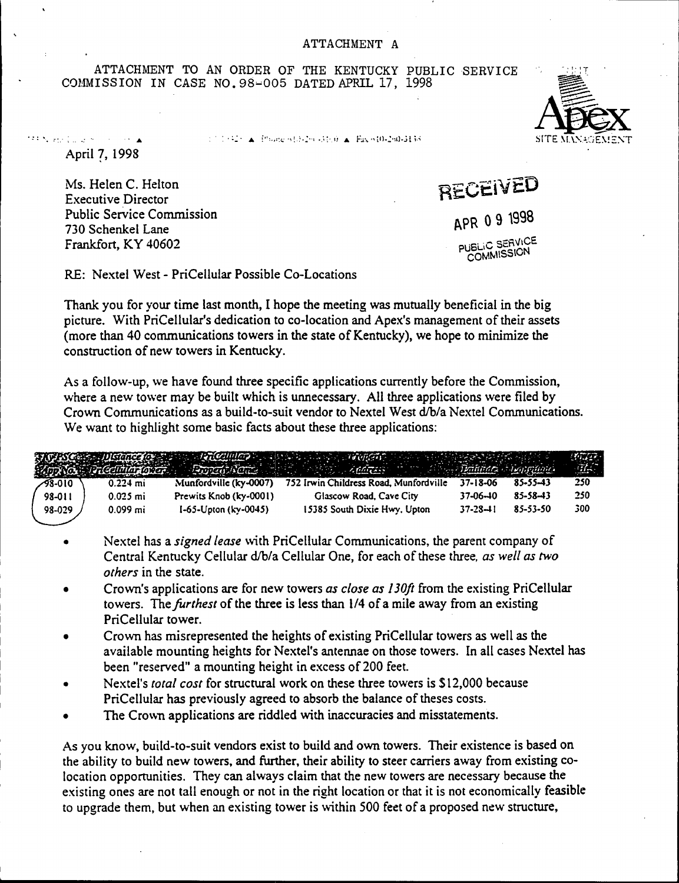ATTACHMENT TO AN ORDER OF THE KENTUCKY PUBLIC SERVICE COMMISSION IN CASE NO. 98-005 DATED APRIL 17, 1998

 $1.71424 \times 10^{12}$  in the state of  $(3.244334)\times$ . Fax  $\approx 10^{12}$  all 3138.

April 7, 199S

1990 North College School College

Ms. Helen C. Helton Evecutive Director Public Service Commission 730 Schenkel Lane Frankfort, KY 40602

**RECEIVED** APR 09 1998 PUBLIC SERVICE COMMISSION

RE: Nextel West - PriCellular Possible Co-Locations

Thank you for your time last month, I hope the meeting was mutually beneficial in the big picture. With PriCellular's dedication to co-location and Apex's management of their assets (more than 40 communications towers in the state of Kentucky), we hope to minimize the construction of new towers in Kentucky.

As a follow-up, we have found three specific applications currently before the Commission, where a new tower may be built which is unnecessary. All three applications were filed by Crown Communications as a build-to-suit vendor to Nextel West d/b/a Nextel Communications. We want to highlight some basic facts about these three applications:

|         |            |                              | NG ESCO - Distance de Santa Valentina - Santa Valentina - Valentina - Valentina - Valentina - Valentina - Valentina |                |                | 19147<br><b>REAL</b> |
|---------|------------|------------------------------|---------------------------------------------------------------------------------------------------------------------|----------------|----------------|----------------------|
| -98-010 | $0.224$ mi | Munfordville (ky-0007)       | 752 Irwin Childress Road, Munfordville                                                                              | $37 - 18 - 06$ | 85-55-43       | 250                  |
| 98-011  | $0.025$ mi | Prewits Knob (ky-0001)       | Glascow Road, Cave City                                                                                             | $37-06-10$     | $85 - 58 - 43$ | 250                  |
| 98-029  | $0.099$ mi | $1-65 -$ Upton (ky $-0045$ ) | 15385 South Dixie Hwy, Upton                                                                                        | $37 - 28 - 11$ | 85-53-50       | 300                  |

- Nextel has a signed lease with PriCellular Communications, the parent company of Central Kentucky Cellular d/b/a Cellular One, for each of these three, as well as two others in the state.
- Crown's applications are for new towers as close as 130fi from the existing PriCellular towers. The furthest of the three is less than 1/4 of a mile away from an existing PriCellular tower.
- Crown has misrepresented the heights of existing PriCellular towers as well as the available mounting heights for Nextel's antennae on those towers. In all cases Nextel has been "reserved" a mounting height in excess of 200 feet.
- Nextel's *total cost* for structural work on these three towers is \$12,000 because  $\bullet$ PriCellular has previously agreed to absorb the balance of theses costs.
- The Crown applications are riddled with inaccuracies and misstatements.

As you know, build-to-suit vendors exist to build and own towers. Their existence is based on the ability to build new towers, and further, their ability to steer carriers away from existing colocation opportunities. They can always claim that the new towers are necessary because the existing ones are not tall enough or not in the right location or that it is not economically feasible to upgrade them, but when an existing tower is within 500 feet of a proposed new structure,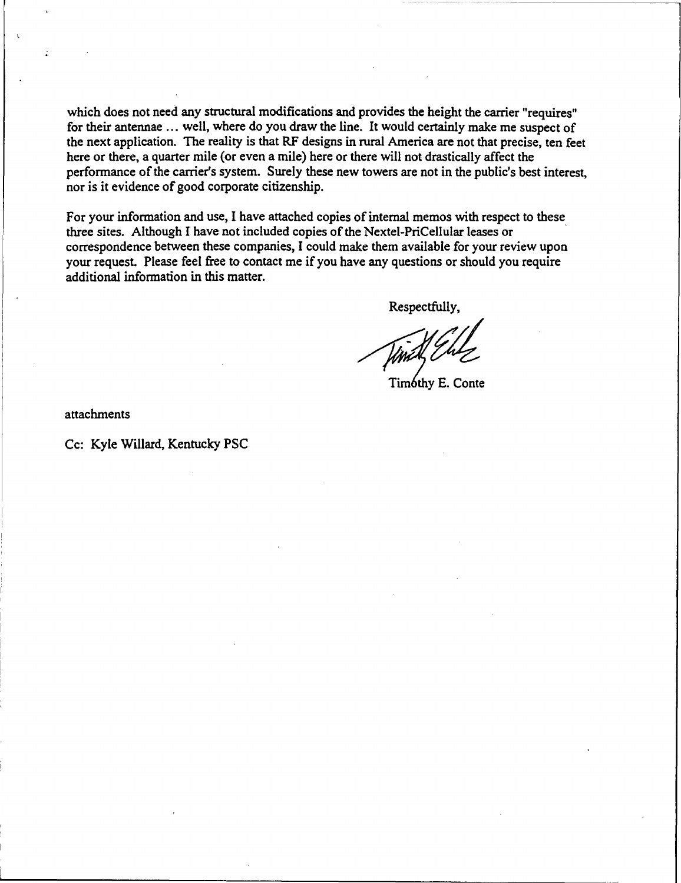which does not need any structural modifications and provides the height the carrier "requires" for their antennae ... well, where do you draw the line. It would certainly make me suspect of the next application. The reality is that RF designs in rural America are not that precise, ten feet here or there, a quarter mile (or even a mile) here or there will not drastically affect the performance of the carrier's system. Surely these new towers are not in the public's best interest, nor is it evidence of good corporate citizenship.

For your information and use, I have attached copies of internal memos with respect to these three sites. Although I have not included copies of the Nextel-PriCellular leases or correspondence between these companies, I could make them available for your review upon your request. Please feel free to contact me if you have any questions or should you require additional information in this matter.

Respectfully,

Timóthy E. Conte

attachments

Cc: Kyle Willard, Kentucky PSC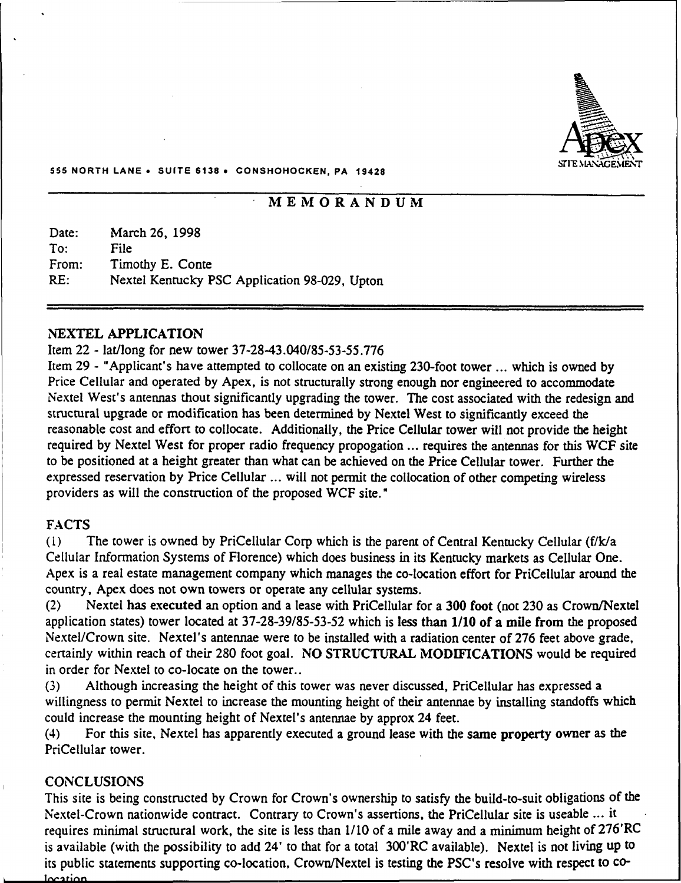

#### 555 NORTH LANE <sup>~</sup> SUITE 6138 <sup>~</sup> CONSHOHOCKEN, PA 19428

# MEMORANDUM

| Date: | March 26, 1998                                |
|-------|-----------------------------------------------|
| Tor:  | File                                          |
| From: | Timothy E. Conte                              |
| RE:   | Nextel Kentucky PSC Application 98-029, Upton |

#### NEXTEL APPLICATION

#### Item 22 - lat/long for new tower 37-28-43.040/85-53-55.776

Item 29 - "Applicant's have attempted to collocate on an existing 230-foot tower ... which is owned by Price Cellular and operated by Apex, is not structurally strong enough nor engineered to accommodate Nextel West's antennas thout significantly upgrading the tower, The cost associated with the redesign and structural upgrade or modification has been determined by Nextel West to significantly exceed the reasonable cost and effort to collocate. Additionally, the Price Cellular tower will not provide the height required by Nextel West for proper radio frequency propogation ... requires the antennas for this WCF site to be positioned at a height greater than what can be achieved on the Price Cellular tower. Further the expressed reservation by Price Cellular ... will not permit the collocation of other competing wireless providers as will the construction of the proposed WCF site."

#### FACTS

(l) The tower is owned by PriCellular Corp which is the parent of Central Kentucky Cellular (f/k/a Cellular Information Systems of Florence) which does business in its Kentucky markets as Cellular One. Apex is a real estate management company which manages the co-location effort for PriCellular around the country, Apex does not own towers or operate any cellular systems.

(2) Nextel has executed an option and a lease with PriCellular for a 300 foot (not 230 as Crown/Nextel application states) tower located at 37-28-39/85-53-52 which is less than 1/10 of a mile from the proposed Nextel/Crown site. Nextel's antennae were to be installed with a radiation center of 276 feet above grade, certainly within reach of their 280 foot goal. NO STRUCTURAL MODIFICATIONS would be required in order for Nextel to co-locate on the tower..

(3) Although increasing the height of this tower was never discussed, PriCellular has expressed a willingness to permit Nextel to increase the mounting height of their antennae by installing standoffs which could increase the mounting height of Nextel's antennae by approx 24 feet.

(4) For this site, Nextel has apparently executed a ground lease with the same property owner as the PriCellular tower.

#### CONCLUSIONS

This site is being constructed by Crown for Crown's ownership to satisfy the build-to-suit obligations of the Nextel-Crown nationwide contract. Contrary to Crown's assertions, the PriCellular site is useable ... it requires minimal structural work, the site is less than 1/10 of a mile away and a minimum height of 276'RC is available (with the possibility to add 24' to that for a total 300'RC available). Nextel is not living up to its public statements supporting co-location, Crown/Nextel is testing the pSC's resolve with respect to co-Incation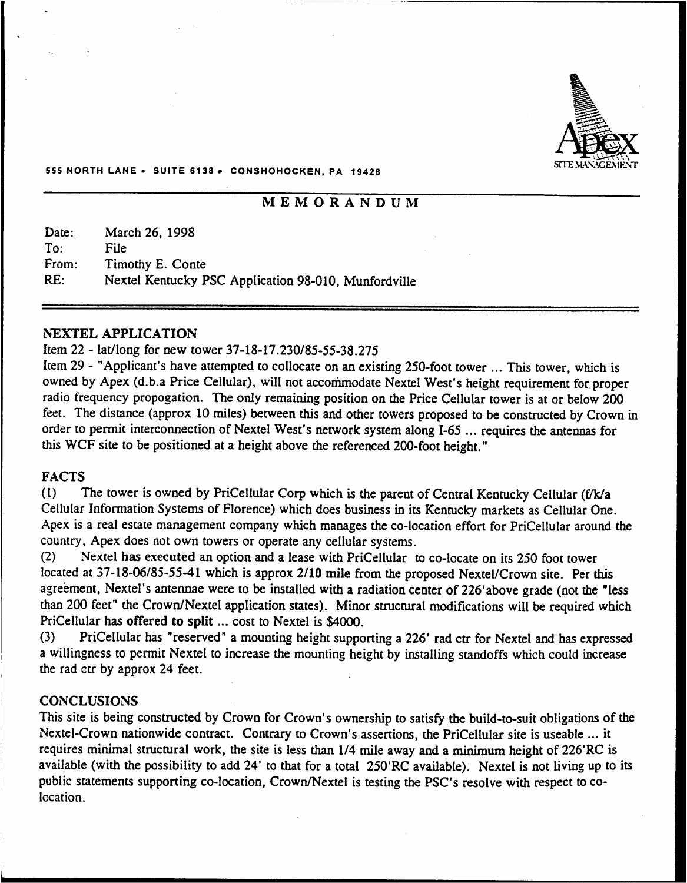

#### 555 NORTH LANE <sup>~</sup> SUITE 6136 <sup>~</sup> CONSHOHOCKEN, PA 19428

# MEMORANDUM

Date: To: From: RE: March 26, 1998 File Timothy E. Conte Nextel Kentucky PSC Application 98-010, Munfordville

#### NEXTEL APPLICATION

#### Item 22 - lat/long for new tower 37-18-17.230/85-55-38.275

Item <sup>29</sup> - "Applicant's have attempted to collocate on an existing 250-foot tower ...This tower, which is owned by Apex (d.b.a Price Cellular), will not accommodate Nextel West's height requirement for proper radio frequency propogation. The only remaining position on the Price Cellular tower is at or below 200 feet. The distance (approx 10 miles) between this and other towers proposed to be constructed by Crown in order to permit interconnection of Nextel West's network system along I-65 ... requires the antennas for this WCF site to be positioned at a height above the referenced 200-foot height."

#### FACTS

(1) The tower is owned by PriCellular Corp which is the parent of Central Kentucky Cellular (f/k/a Cellular Information Systems of Florence) which does business in its Kentucky markets as Cellular One. Apex is a real estate management company which manages the co-location effort for PriCellular around the country, Apex does not own towers or operate any cellular systems.

(2) Nextel has executed an option and a lease with PriCellular to co-locate on its 250 foot tower located at 37-18-06/85-55-41 which is approx 2/10 mile from the proposed Nextel/Crown site. Per this agreement, Nextel's antennae were to be installed with a radiation center of 226'above grade (not the "less than 200 feet" the Crown/Nextel application states). Minor structural modifications will be required which PriCellular has offered to split ... cost to Nextel is \$4000.<br>(3) PriCellular has "reserved" a mounting height suppo

PriCellular has "reserved" a mounting height supporting a 226' rad ctr for Nextel and has expressed a willingness to permit Nextel to increase the mounting height by installing standoffs which could increase the rad ctr by approx 24 feet.

#### **CONCLUSIONS**

This site is being constructed by Crown for Crown's ownership to satisfy the build-to-suit obligations of the Nextel-Crown nationwide contract. Contrary to Crown's assertions, the PriCellular site is useable ... it requires minimal structural work, the site is less than 1/4 mile away and a minimum height of 226'RC is available (with the possibility to add 24' to that for a total 250'RC available). Nextel is not living up to its public statements supporting co-location, Crown/Nextel is testing the PSC's resolve with respect to colocation.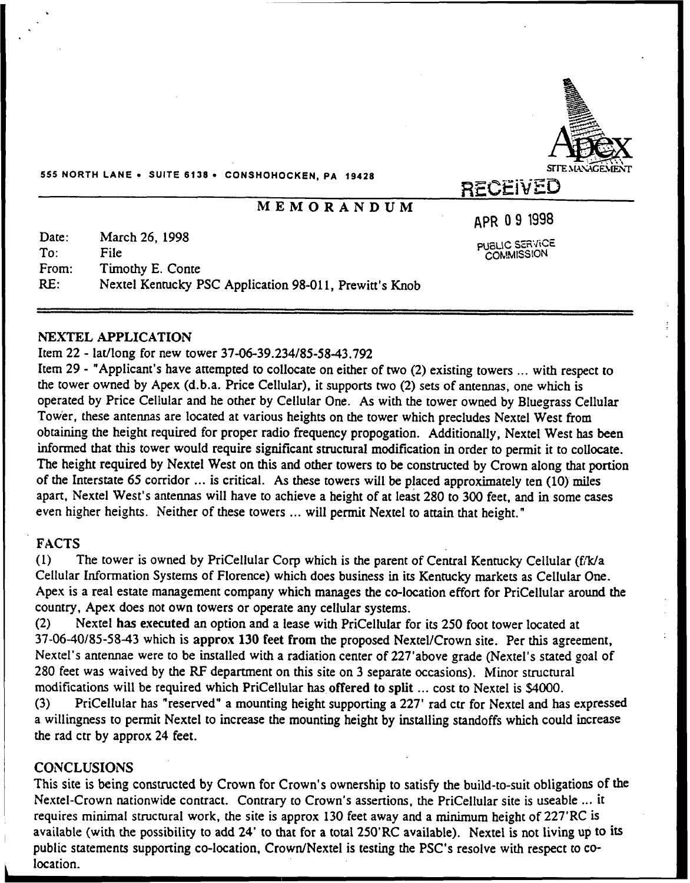

555 NORTH LANE <sup>~</sup> SUITE 6138 <sup>~</sup> CONSHOHOCKEN, PA 18428

# MEMORANDUM

p,pp 09 1998

PUBLIC SERVICE

Date: To: From: RE: March 26, 1998 File Timothy E. Conte Nextel Kentucky PSC Application 98-011, Prewitt's Knob

#### NEXTEL APPLICATION

#### Item 22 - lat/long for new tower 37-06-39.234/85-58-43.792

Item <sup>29</sup> - "Applicant's have attempted to collocate on either of two (2) existing towers ...with respect to the tower owned by Apex (d.b.a. Price Cellular), it supports two (2) sets of antennas, one which is operated by Price Cellular and he other by Cellular One. As with the tower owned by Bluegrass Cellular Tow'er, these antennas are located at various heights on the tower which precludes Nextel West from obtaining the height required for proper radio frequency propogation. Additionally, Nextel West has been informed that this tower would require significant structural modification in order to permit it to collocate. The height required by Nextel West on this and other towers to be constructed by Crown along that portion of the Interstate 65 corridor ... is critical. As these towers will be placed approximately ten (10) miles apart, Nextel West's antennas will have to achieve a height of at least 280 to 300 feet, and in some cases even higher heights. Neither of these towers ... will permit Nextel to attain that height."

# FACTS

(1) The tower is owned by PriCellular Corp which is the parent of Central Kentucky Cellular (fi'k/a Cellular Information Systems of Florence) which does business in its Kentucky markets as Cellular One. Apex is a real estate management company which manages the co-location effort for PriCellular around the country, Apex does not own towers or operate any cellular systems.

(2) Nextel has executed an option and a lease with PriCellular for its 250 foot tower located at 37-06-40/85-58-43 which is approx 130 feet from the proposed Nextel/Crown site. Per this agreement, Nextel's antennae were to be installed with a radiation center of 227'above grade (Nextel's stated goal of 280 feet was waived by the RF department on this site on 3 separate occasions). Minor structural modifications will be required which PriCellular has offered to split ... cost to Nextel is \$4000.<br>(3) PriCellular has "reserved" a mounting height supporting a 227' rad ctr for Nextel and ha

PriCellular has "reserved" a mounting height supporting a 227' rad ctr for Nextel and has expressed a willingness to permit Nextel to increase the mounting height by installing standoffs which could increase the rad ctr by approx 24 feet.

#### **CONCLUSIONS**

This site is being constructed by Crown for Crown's ownership to satisfy the build-to-suit obligations of the Nextel-Crown nationwide contract. Contrary to Crown's assertions, the PriCellular site is useable ... it requires minimal structural work, the site is approx 130 feet away and a minimum height of 227'RC is available (with the possibility to add 24' to that for a total 250'RC available). Nextel is not living up to its public statements supporting co-location, Crown/Nextel is testing the PSC's resolve with respect to colocation.